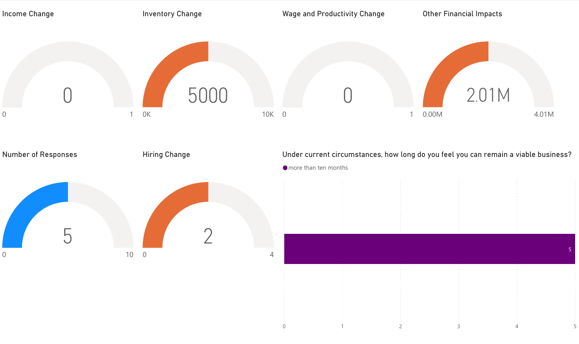| <b>Income Change</b>       | <b>Inventory Change</b>          | <b>Wage and Productivity Change</b> | <b>Other Financial Impacts</b>                                                      |
|----------------------------|----------------------------------|-------------------------------------|-------------------------------------------------------------------------------------|
| $\mathbf 0$                | 5000<br>0K<br>$\mathbf{1}$       | 10K 0                               | 2.01M<br>4.01M<br>0.00M                                                             |
| <b>Number of Responses</b> | <b>Hiring Change</b>             | ● more than ten months              | Under current circumstances, how long do you feel you can remain a viable business? |
| ن<br>ا<br>$\mathbf 0$      | $\Gamma$<br>10<br>$\overline{0}$ | 4                                   |                                                                                     |
|                            |                                  |                                     |                                                                                     |